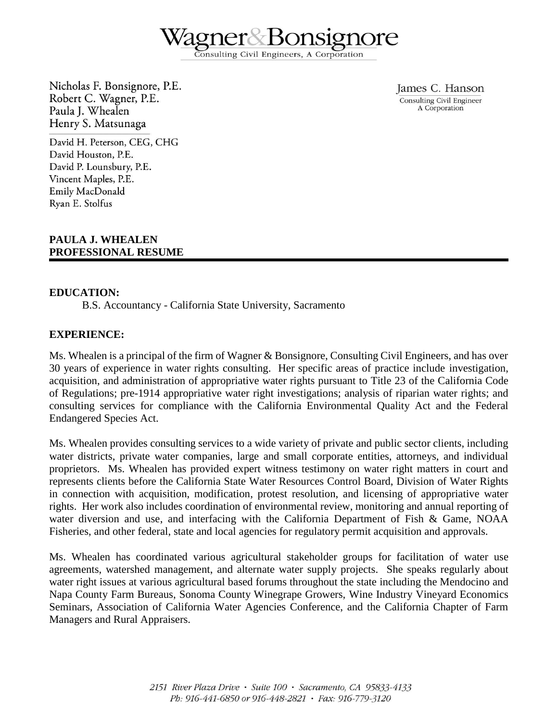onsulting Civil Engineers, A Corporation

Nicholas F. Bonsignore, P.E. Robert C. Wagner, P.E. Paula J. Whealen Henry S. Matsunaga

James C. Hanson Consulting Civil Engineer A Corporation

David H. Peterson, CEG, CHG David Houston, P.E. David P. Lounsbury, P.E. Vincent Maples, P.E. Emily MacDonald Ryan E. Stolfus

### **PAULA J. WHEALEN PROFESSIONAL RESUME**

#### **EDUCATION:**

B.S. Accountancy - California State University, Sacramento

### **EXPERIENCE:**

Ms. Whealen is a principal of the firm of Wagner & Bonsignore, Consulting Civil Engineers, and has over 30 years of experience in water rights consulting. Her specific areas of practice include investigation, acquisition, and administration of appropriative water rights pursuant to Title 23 of the California Code of Regulations; pre-1914 appropriative water right investigations; analysis of riparian water rights; and consulting services for compliance with the California Environmental Quality Act and the Federal Endangered Species Act.

Ms. Whealen provides consulting services to a wide variety of private and public sector clients, including water districts, private water companies, large and small corporate entities, attorneys, and individual proprietors. Ms. Whealen has provided expert witness testimony on water right matters in court and represents clients before the California State Water Resources Control Board, Division of Water Rights in connection with acquisition, modification, protest resolution, and licensing of appropriative water rights. Her work also includes coordination of environmental review, monitoring and annual reporting of water diversion and use, and interfacing with the California Department of Fish & Game, NOAA Fisheries, and other federal, state and local agencies for regulatory permit acquisition and approvals.

Ms. Whealen has coordinated various agricultural stakeholder groups for facilitation of water use agreements, watershed management, and alternate water supply projects. She speaks regularly about water right issues at various agricultural based forums throughout the state including the Mendocino and Napa County Farm Bureaus, Sonoma County Winegrape Growers, Wine Industry Vineyard Economics Seminars, Association of California Water Agencies Conference, and the California Chapter of Farm Managers and Rural Appraisers.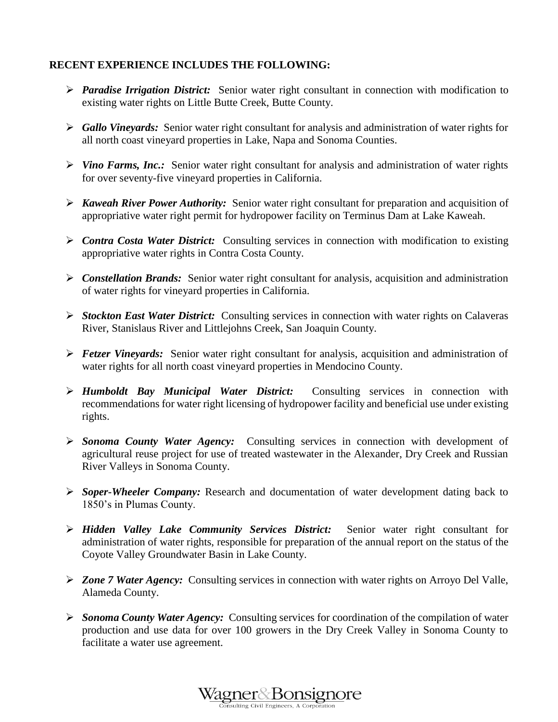# **RECENT EXPERIENCE INCLUDES THE FOLLOWING:**

- **Paradise Irrigation District:** Senior water right consultant in connection with modification to existing water rights on Little Butte Creek, Butte County.
- *Gallo Vineyards:* Senior water right consultant for analysis and administration of water rights for all north coast vineyard properties in Lake, Napa and Sonoma Counties.
- *Vino Farms, Inc.:* Senior water right consultant for analysis and administration of water rights for over seventy-five vineyard properties in California.
- *Kaweah River Power Authority:* Senior water right consultant for preparation and acquisition of appropriative water right permit for hydropower facility on Terminus Dam at Lake Kaweah.
- > *Contra Costa Water District:* Consulting services in connection with modification to existing appropriative water rights in Contra Costa County.
- *Constellation Brands:* Senior water right consultant for analysis, acquisition and administration of water rights for vineyard properties in California.
- *Stockton East Water District:* Consulting services in connection with water rights on Calaveras River, Stanislaus River and Littlejohns Creek, San Joaquin County.
- *Fetzer Vineyards:* Senior water right consultant for analysis, acquisition and administration of water rights for all north coast vineyard properties in Mendocino County.
- *Humboldt Bay Municipal Water District:* Consulting services in connection with recommendations for water right licensing of hydropower facility and beneficial use under existing rights.
- *Sonoma County Water Agency:*Consulting services in connection with development of agricultural reuse project for use of treated wastewater in the Alexander, Dry Creek and Russian River Valleys in Sonoma County.
- *Soper-Wheeler Company:* Research and documentation of water development dating back to 1850's in Plumas County.
- *Hidden Valley Lake Community Services District:* Senior water right consultant for administration of water rights, responsible for preparation of the annual report on the status of the Coyote Valley Groundwater Basin in Lake County.
- *Zone 7 Water Agency:* Consulting services in connection with water rights on Arroyo Del Valle, Alameda County.
- *Sonoma County Water Agency:* Consulting services for coordination of the compilation of water production and use data for over 100 growers in the Dry Creek Valley in Sonoma County to facilitate a water use agreement.

W<u>agner&Bonsigno</u>re ulting Civil Engineers, A Corporation